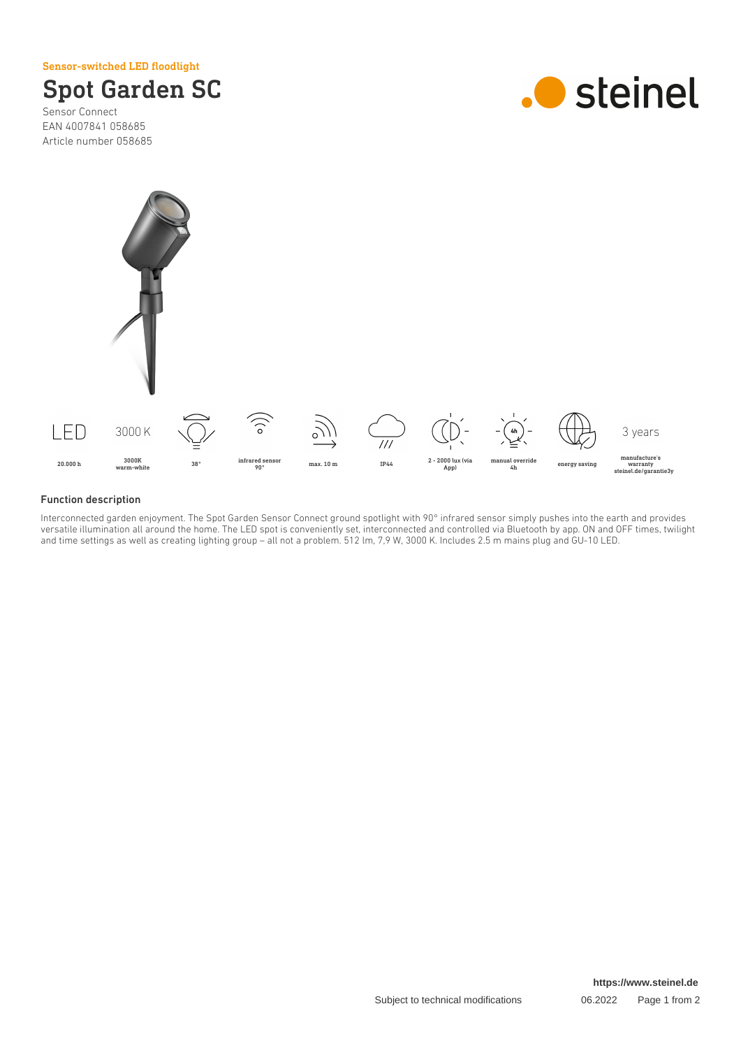Sensor-switched LED floodlight



Sensor Connect EAN 4007841 058685 Article number 058685





#### Function description

Interconnected garden enjoyment. The Spot Garden Sensor Connect ground spotlight with 90° infrared sensor simply pushes into the earth and provides versatile illumination all around the home. The LED spot is conveniently set, interconnected and controlled via Bluetooth by app. ON and OFF times, twilight and time settings as well as creating lighting group – all not a problem. 512 lm, 7,9 W, 3000 K. Includes 2.5 m mains plug and GU-10 LED.